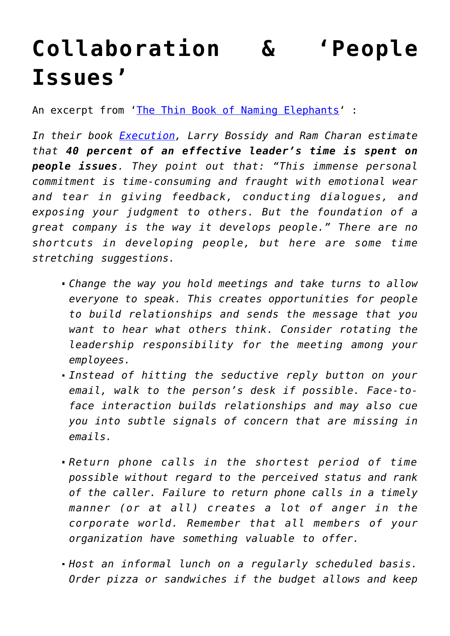## **[Collaboration & 'People](https://gettingclevertogether.com/collaborative-intelligence/collaboration-people-issues/) [Issues'](https://gettingclevertogether.com/collaborative-intelligence/collaboration-people-issues/)**

An excerpt from '[The Thin Book of Naming Elephants'](http://www.thinbook.com/pages/books/naming_elepants_book.htm) :

*In their book [Execution,](http://www.honeywell.com/execution/index.html) Larry Bossidy and Ram Charan estimate that 40 percent of an effective leader's time is spent on people issues. They point out that: "This immense personal commitment is time-consuming and fraught with emotional wear and tear in giving feedback, conducting dialogues, and exposing your judgment to others. But the foundation of a great company is the way it develops people." There are no shortcuts in developing people, but here are some time stretching suggestions.*

- *Change the way you hold meetings and take turns to allow everyone to speak. This creates opportunities for people to build relationships and sends the message that you want to hear what others think. Consider rotating the leadership responsibility for the meeting among your employees.*
- *Instead of hitting the seductive reply button on your email, walk to the person's desk if possible. Face-toface interaction builds relationships and may also cue you into subtle signals of concern that are missing in emails.*
- *Return phone calls in the shortest period of time possible without regard to the perceived status and rank of the caller. Failure to return phone calls in a timely manner (or at all) creates a lot of anger in the corporate world. Remember that all members of your organization have something valuable to offer.*
- *Host an informal lunch on a regularly scheduled basis. Order pizza or sandwiches if the budget allows and keep*